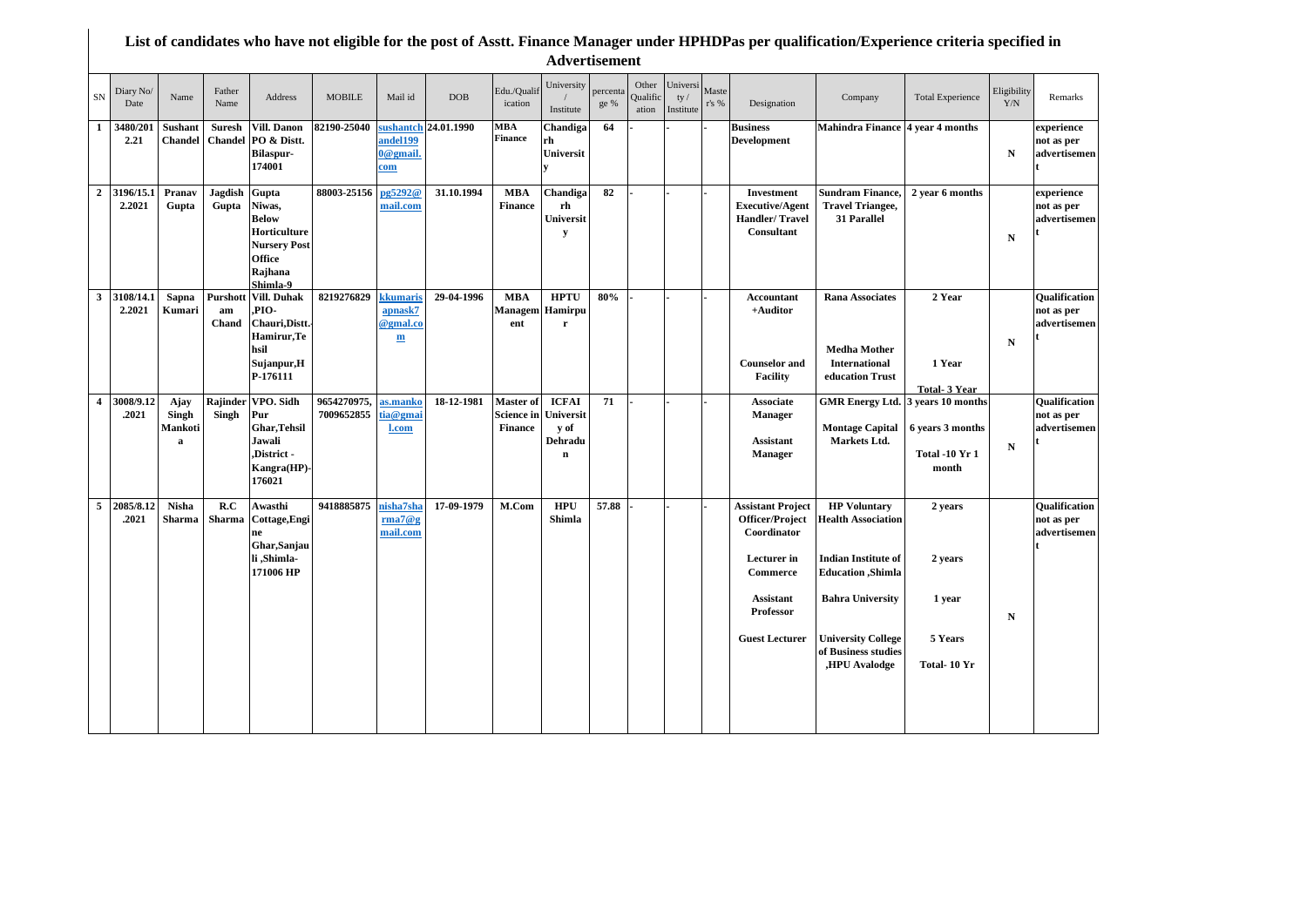## **List of candidates who have not eligible for the post of Asstt. Finance Manager under HPHDPas per qualification/Experience criteria specified in Advertisement**

| Diary No/<br>SN<br>Date               | Name                          | Father<br>Name           | Address                                                                                                 | <b>MOBILE</b>             | Mail id                                         | <b>DOB</b>           | Edu./Qualif<br>ication                           | University<br>Institute                                     | percenta<br>ge % | Other<br>Qualific<br>ation | Universi<br>ty/<br>Institute | Maste<br>r's % | Designation                                                                                                                                     | Company                                                                                                                                                                                                            | <b>Total Experience</b>                                                 | Eligibility<br>Y/N | Remarks                                            |
|---------------------------------------|-------------------------------|--------------------------|---------------------------------------------------------------------------------------------------------|---------------------------|-------------------------------------------------|----------------------|--------------------------------------------------|-------------------------------------------------------------|------------------|----------------------------|------------------------------|----------------|-------------------------------------------------------------------------------------------------------------------------------------------------|--------------------------------------------------------------------------------------------------------------------------------------------------------------------------------------------------------------------|-------------------------------------------------------------------------|--------------------|----------------------------------------------------|
| $\mathbf{1}$<br>3480/201<br>2.21      | Sushant<br>Chandel            | <b>Suresh</b><br>Chandel | Vill. Danon<br>PO & Distt.<br><b>Bilaspur-</b><br>174001                                                | 82190-25040               | andel 199<br>0@gmail.<br>com                    | sushantch 24.01.1990 | MBA<br><b>Finance</b>                            | Chandiga<br>rh<br>Universit                                 | 64               |                            |                              |                | <b>Business</b><br><b>Development</b>                                                                                                           | Mahindra Finance 4 year 4 months                                                                                                                                                                                   |                                                                         | N                  | experience<br>not as per<br>advertisemen           |
| 3196/15.1<br>$\overline{2}$<br>2.2021 | Pranav<br>Gupta               | Jagdish<br>Gupta         | Gupta<br>Niwas,<br><b>Below</b><br>Horticulture<br><b>Nursery Post</b><br>Office<br>Rajhana<br>Shimla-9 | 88003-25156               | pg5292@<br>mail.com                             | 31.10.1994           | <b>MBA</b><br><b>Finance</b>                     | Chandiga<br>rh<br>Universit<br>y                            | 82               |                            |                              |                | Investment<br><b>Executive/Agent</b><br>Handler/Travel<br>Consultant                                                                            | <b>Sundram Finance,</b><br><b>Travel Triangee,</b><br>31 Parallel                                                                                                                                                  | 2 year 6 months                                                         | $\mathbf N$        | experience<br>not as per<br>advertisemen           |
| $\mathbf{3}$<br>3108/14.1<br>2.2021   | Sapna<br>Kumari               | Purshott<br>am<br>Chand  | <b>Vill. Duhak</b><br>PIO-<br>Chauri, Distt.<br>Hamirur, Te<br>hsil<br>Sujanpur,H<br>P-176111           | 8219276829                | kkumaris<br>apnask7<br>@gmal.co<br>$\mathbf{m}$ | 29-04-1996           | <b>MBA</b><br>Managem<br>ent                     | <b>HPTU</b><br>Hamirpu<br>r                                 | 80%              |                            |                              |                | Accountant<br>+Auditor<br><b>Counselor</b> and<br><b>Facility</b>                                                                               | <b>Rana Associates</b><br><b>Medha Mother</b><br><b>International</b><br>education Trust                                                                                                                           | 2 Year<br>1 Year<br><b>Total- 3 Year</b>                                | ${\bf N}$          | Qualification<br>not as per<br>advertisemen        |
| 3008/9.12<br>$\overline{4}$<br>.2021  | Ajay<br>Singh<br>Mankoti<br>a | Rajinder<br>Singh        | VPO. Sidh<br>Pur<br><b>Ghar, Tehsil</b><br>Jawali<br>District -<br>Kangra(HP)-<br>176021                | 9654270975,<br>7009652855 | as.manko<br>tia@gmai<br>l.com                   | 18-12-1981           | Master of<br><b>Science in</b><br><b>Finance</b> | <b>ICFAI</b><br>Universit<br>y of<br>Dehradu<br>$\mathbf n$ | 71               |                            |                              |                | <b>Associate</b><br><b>Manager</b><br><b>Assistant</b><br><b>Manager</b>                                                                        | <b>GMR</b> Energy Ltd.<br><b>Montage Capital</b><br>Markets Ltd.                                                                                                                                                   | 3 years 10 months<br>6 years 3 months<br><b>Total -10 Yr 1</b><br>month | ${\bf N}$          | <b>Oualification</b><br>not as per<br>advertisemen |
| 5<br>2085/8.12<br>.2021               | <b>Nisha</b><br>Sharma        | R.C<br>Sharma            | Awasthi<br>Cottage, Engi<br>ne<br>Ghar, Sanjau<br>li Shimla-<br>171006 HP                               | 9418885875                | nisha7sha<br>rma7@g<br>mail.com                 | 17-09-1979           | M.Com                                            | <b>HPU</b><br>Shimla                                        | 57.88            |                            |                              |                | <b>Assistant Project</b><br>Officer/Project<br>Coordinator<br>Lecturer in<br>Commerce<br><b>Assistant</b><br>Professor<br><b>Guest Lecturer</b> | <b>HP Voluntary</b><br><b>Health Association</b><br><b>Indian Institute of</b><br><b>Education</b> , Shimla<br><b>Bahra University</b><br><b>University College</b><br>of Business studies<br><b>,HPU Avalodge</b> | 2 years<br>2 years<br>1 year<br>5 Years<br>Total-10 Yr                  | N                  | Qualification<br>not as per<br>advertisemen        |